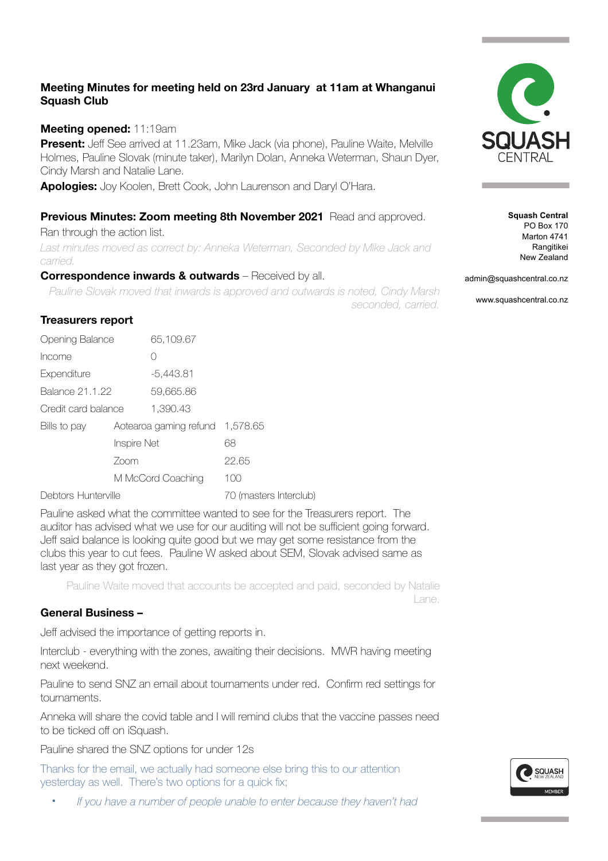# **Meeting Minutes for meeting held on 23rd January at 11am at Whanganui Squash Club**

### **Meeting opened:** 11:19am

**Present:** Jeff See arrived at 11.23am, Mike Jack (via phone), Pauline Waite, Melville Holmes, Pauline Slovak (minute taker), Marilyn Dolan, Anneka Weterman, Shaun Dyer, Cindy Marsh and Natalie Lane.

**Apologies:** Joy Koolen, Brett Cook, John Laurenson and Daryl O'Hara.

## **Previous Minutes: Zoom meeting 8th November 2021** Read and approved.

Ran through the action list.

Last minutes moved as correct by: Anneka Weterman, Seconded by Mike Jack and *carried.* 

#### **Correspondence inwards & outwards** – Received by all.

*Pauline Slovak moved that inwards is approved and outwards is noted, Cindy Marsh* 

*seconded, carried.* 

### **Treasurers report**

| <b>Opening Balance</b> |                     | 65,109.67              |                        |  |
|------------------------|---------------------|------------------------|------------------------|--|
| Income                 |                     | Ω                      |                        |  |
| Expenditure            |                     | -5,443.81              |                        |  |
| <b>Balance 21.1.22</b> |                     | 59,665.86              |                        |  |
| Credit card balance    |                     | 1.390.43               |                        |  |
| Bills to pay           |                     | Aotearoa gaming refund | 1,578.65               |  |
|                        | Inspire Net<br>Zoom |                        | 68                     |  |
|                        |                     |                        | 22.65                  |  |
|                        | M McCord Coaching   |                        | 100                    |  |
| Debtors Hunterville    |                     |                        | 70 (masters Interclub) |  |

Pauline asked what the committee wanted to see for the Treasurers report. The auditor has advised what we use for our auditing will not be sufficient going forward. Jeff said balance is looking quite good but we may get some resistance from the clubs this year to cut fees. Pauline W asked about SEM, Slovak advised same as last year as they got frozen.

Pauline Waite moved that accounts be accepted and paid, seconded by Natalie Lane.

#### **General Business –**

Jeff advised the importance of getting reports in.

Interclub - everything with the zones, awaiting their decisions. MWR having meeting next weekend.

Pauline to send SNZ an email about tournaments under red. Confirm red settings for tournaments.

Anneka will share the covid table and I will remind clubs that the vaccine passes need to be ticked off on iSquash.

Pauline shared the SNZ options for under 12s

Thanks for the email, we actually had someone else bring this to our attention yesterday as well. There's two options for a quick fix;

• *If you have a number of people unable to enter because they haven't had* 



**Squash Central** PO Box 170 Marton 4741 Rangitikei New Zealand

admin@squashcentral.co.nz

www.squashcentral.co.nz